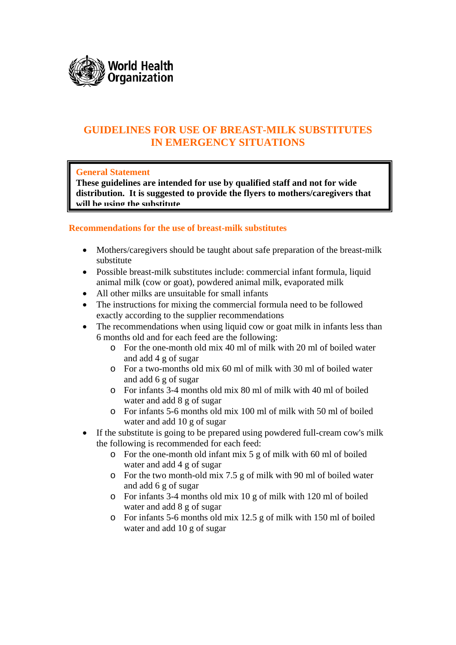

## **GUIDELINES FOR USE OF BREAST-MILK SUBSTITUTES IN EMERGENCY SITUATIONS**

### **General Statement**

**These guidelines are intended for use by qualified staff and not for wide distribution. It is suggested to provide the flyers to mothers/caregivers that will be using the substitute**

### **Recommendations for the use of breast-milk substitutes**

- Mothers/caregivers should be taught about safe preparation of the breast-milk substitute
- Possible breast-milk substitutes include: commercial infant formula, liquid animal milk (cow or goat), powdered animal milk, evaporated milk
- All other milks are unsuitable for small infants
- The instructions for mixing the commercial formula need to be followed exactly according to the supplier recommendations
- The recommendations when using liquid cow or goat milk in infants less than 6 months old and for each feed are the following:
	- o For the one-month old mix 40 ml of milk with 20 ml of boiled water and add 4 g of sugar
	- o For a two-months old mix 60 ml of milk with 30 ml of boiled water and add 6 g of sugar
	- o For infants 3-4 months old mix 80 ml of milk with 40 ml of boiled water and add 8 g of sugar
	- o For infants 5-6 months old mix 100 ml of milk with 50 ml of boiled water and add 10 g of sugar
- If the substitute is going to be prepared using powdered full-cream cow's milk the following is recommended for each feed:
	- o For the one-month old infant mix 5 g of milk with 60 ml of boiled water and add 4 g of sugar
	- o For the two month-old mix 7.5 g of milk with 90 ml of boiled water and add 6 g of sugar
	- o For infants 3-4 months old mix 10 g of milk with 120 ml of boiled water and add 8 g of sugar
	- o For infants 5-6 months old mix 12.5 g of milk with 150 ml of boiled water and add 10 g of sugar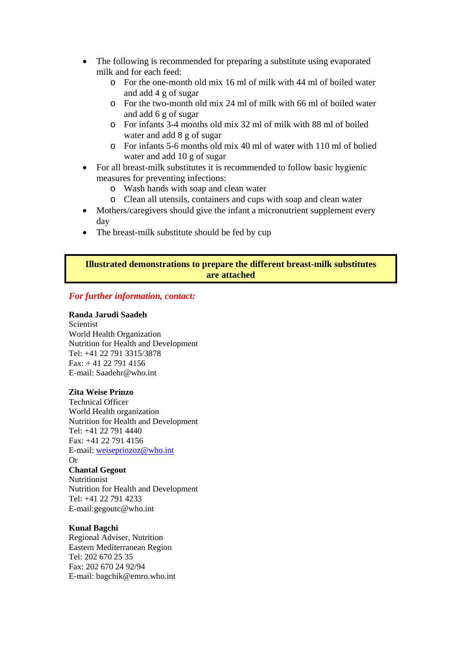- The following is recommended for preparing a substitute using evaporated milk and for each feed:
	- o For the one-month old mix 16 ml of milk with 44 ml of boiled water and add 4 g of sugar
	- o For the two-month old mix 24 ml of milk with 66 ml of boiled water and add 6 g of sugar
	- o For infants 3-4 months old mix 32 ml of milk with 88 ml of boiled water and add 8 g of sugar
	- o For infants 5-6 months old mix 40 ml of water with 110 ml of bolied water and add 10 g of sugar
- For all breast-milk substitutes it is recommended to follow basic hygienic measures for preventing infections:
	- o Wash hands with soap and clean water
	- o Clean all utensils, containers and cups with soap and clean water
- Mothers/caregivers should give the infant a micronutrient supplement every day
- The breast-milk substitute should be fed by cup

### **Illustrated demonstrations to prepare the different breast-milk substitutes are attached**

### *For further information, contact:*

#### **Randa Jarudi Saadeh**

**Scientist** World Health Organization Nutrition for Health and Development Tel: +41 22 791 3315/3878 Fax: + 41 22 791 4156 E-mail: Saadehr@who.int

#### **Zita Weise Prinzo**

Technical Officer World Health organization Nutrition for Health and Development Tel: +41 22 791 4440 Fax: +41 22 791 4156 E-mail: [weiseprinzoz@who.int](mailto:weiseprinzoz@who.int) Or **Chantal Gegout**  Nutritionist Nutrition for Health and Development Tel: +41 22 791 4233 E-mail:gegoutc@who.int

#### **Kunal Bagchi**

Regional Adviser, Nutrition Eastern Mediterranean Region Tel: 202 670 25 35 Fax: 202 670 24 92/94 E-mail: bagchik@emro.who.int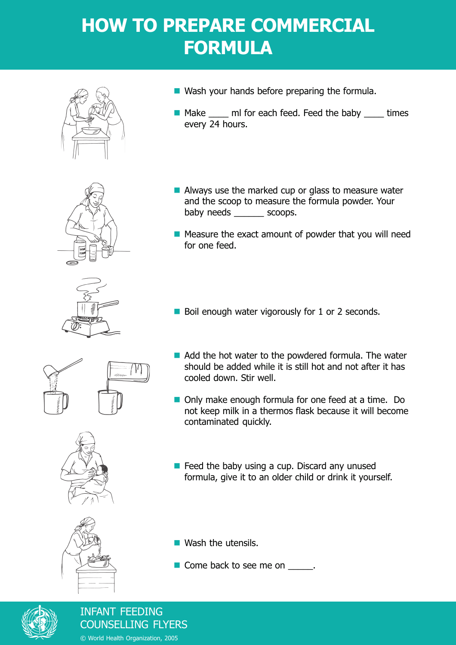## **HOW TO PREPARE COMMERCIAL FORMULA**













- Wash your hands before preparing the formula.
- Make \_\_\_\_ ml for each feed. Feed the baby \_\_\_\_ times every 24 hours.
- Always use the marked cup or glass to measure water and the scoop to measure the formula powder. Your baby needs scoops.
- $\blacksquare$  Measure the exact amount of powder that you will need for one feed.
- Boil enough water vigorously for 1 or 2 seconds.
- Add the hot water to the powdered formula. The water should be added while it is still hot and not after it has cooled down. Stir well.
- Only make enough formula for one feed at a time. Do not keep milk in a thermos flask because it will become contaminated quickly.
- $\blacksquare$  Feed the baby using a cup. Discard any unused formula, give it to an older child or drink it yourself.

**Wash the utensils.** 

Come back to see me on \_\_\_\_\_.



INFANT FEEDING COUNSELLING FLYERS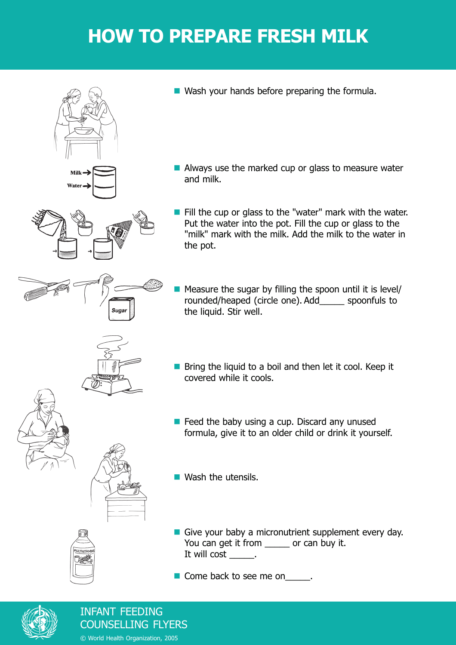## **HOW TO PREPARE FRESH MILK**





Always use the marked cup or glass to measure water and milk.



 $\blacksquare$  Fill the cup or glass to the "water" mark with the water. Put the water into the pot. Fill the cup or glass to the "milk" mark with the milk. Add the milk to the water in the pot.

**Measure the sugar by filling the spoon until it is level/** rounded/heaped (circle one). Add\_\_\_\_\_ spoonfuls to the liquid. Stir well.

- $\blacksquare$  Bring the liquid to a boil and then let it cool. Keep it covered while it cools.
- $\blacksquare$  Feed the baby using a cup. Discard any unused formula, give it to an older child or drink it yourself.

**Nash the utensils.** 

Give your baby a micronutrient supplement every day. You can get it from \_\_\_\_\_\_ or can buy it. It will cost \_\_\_\_\_.

■ Come back to see me on \_\_\_\_\_.



**NULTIVITAN** 

INFANT FEEDING COUNSELLING FLYERS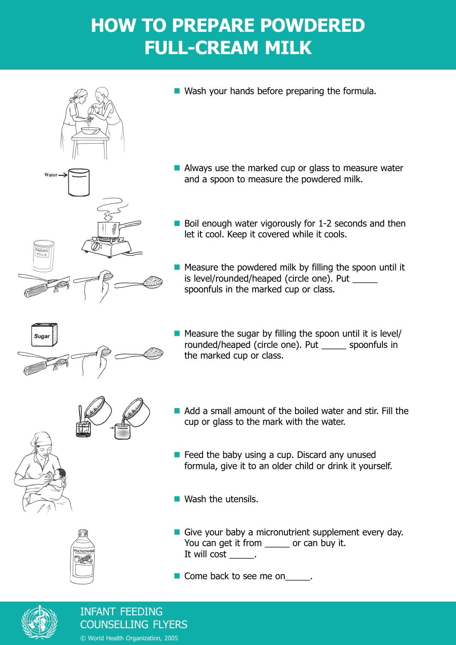## **HOW TO PREPARE POWDERED FULL-CREAM MILK**



Wash your hands before preparing the formula.

- Always use the marked cup or glass to measure water and a spoon to measure the powdered milk.
- $\blacksquare$  Boil enough water vigorously for 1-2 seconds and then let it cool. Keep it covered while it cools.
- $\blacksquare$  Measure the powdered milk by filling the spoon until it is level/rounded/heaped (circle one). Put spoonfuls in the marked cup or class.



ULTIVITA

 $\blacksquare$  Measure the sugar by filling the spoon until it is level/ rounded/heaped (circle one). Put \_\_\_\_\_ spoonfuls in the marked cup or class.



- Add a small amount of the boiled water and stir. Fill the cup or glass to the mark with the water.
- $\blacksquare$  Feed the baby using a cup. Discard any unused formula, give it to an older child or drink it yourself.

**Wash the utensils.** 

- Give your baby a micronutrient supplement every day. You can get it from \_\_\_\_\_ or can buy it. It will cost \_\_\_\_\_.
- Come back to see me on \_\_\_\_\_.



### INFANT FEEDING COUNSELLING FLYERS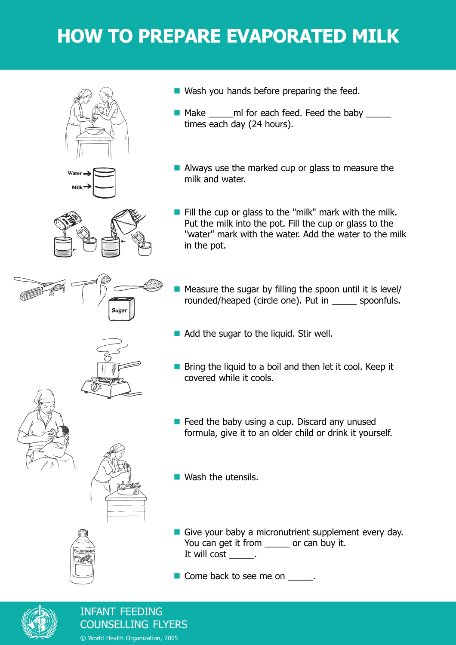# **HOW TO PREPARE EVAPORATED MILK**









- Make \_\_\_\_\_ml for each feed. Feed the baby \_\_\_\_\_ times each day (24 hours).
- Always use the marked cup or glass to measure the milk and water.
- Fill the cup or glass to the "milk" mark with the milk. Put the milk into the pot. Fill the cup or glass to the "water" mark with the water. Add the water to the milk in the pot.
- $\blacksquare$  Measure the sugar by filling the spoon until it is level/ rounded/heaped (circle one). Put in \_\_\_\_\_ spoonfuls.
- Add the sugar to the liquid. Stir well.
- Bring the liquid to a boil and then let it cool. Keep it covered while it cools.
- $\blacksquare$  Feed the baby using a cup. Discard any unused formula, give it to an older child or drink it yourself.
- **Nash the utensils.**
- Give your baby a micronutrient supplement every day. You can get it from \_\_\_\_\_ or can buy it. It will cost \_\_\_\_\_\_.
- Come back to see me on \_\_\_\_\_.



INFANT FEEDING COUNSELLING FLYERS

© World Health Organization, 2005

- 
- 

**NULTIVITAN**